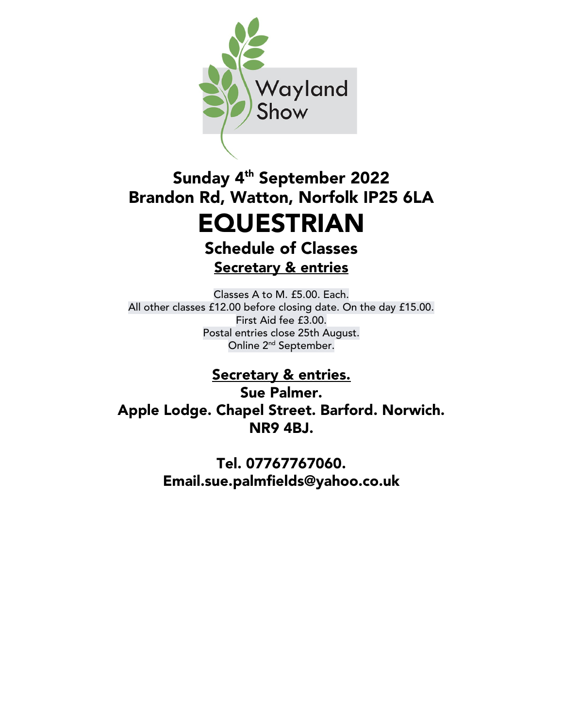

# Sunday 4<sup>th</sup> September 2022 Brandon Rd, Watton, Norfolk IP25 6LA EQUESTRIAN

Schedule of Classes Secretary & entries

Classes A to M. £5.00. Each. All other classes £12.00 before closing date. On the day £15.00. First Aid fee £3.00. Postal entries close 25th August. Online 2<sup>nd</sup> September.

# Secretary & entries.

Sue Palmer. Apple Lodge. Chapel Street. Barford. Norwich. NR9 4BJ.

> Tel. 07767767060. Email.sue.palmfields@yahoo.co.uk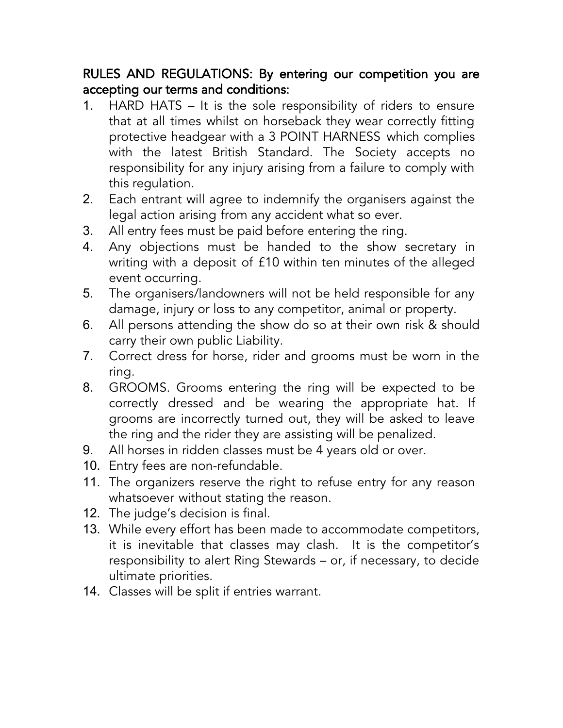### RULES AND REGULATIONS: By entering our competition you are accepting our terms and conditions:

- 1. HARD HATS It is the sole responsibility of riders to ensure that at all times whilst on horseback they wear correctly fitting protective headgear with a 3 POINT HARNESS which complies with the latest British Standard. The Society accepts no responsibility for any injury arising from a failure to comply with this regulation.
- 2. Each entrant will agree to indemnify the organisers against the legal action arising from any accident what so ever.
- 3. All entry fees must be paid before entering the ring.
- 4. Any objections must be handed to the show secretary in writing with a deposit of £10 within ten minutes of the alleged event occurring.
- 5. The organisers/landowners will not be held responsible for any damage, injury or loss to any competitor, animal or property.
- 6. All persons attending the show do so at their own risk & should carry their own public Liability.
- 7. Correct dress for horse, rider and grooms must be worn in the ring.
- 8. GROOMS. Grooms entering the ring will be expected to be correctly dressed and be wearing the appropriate hat. If grooms are incorrectly turned out, they will be asked to leave the ring and the rider they are assisting will be penalized.
- 9. All horses in ridden classes must be 4 years old or over.
- 10. Entry fees are non-refundable.
- 11. The organizers reserve the right to refuse entry for any reason whatsoever without stating the reason.
- 12. The judge's decision is final.
- 13. While every effort has been made to accommodate competitors, it is inevitable that classes may clash. It is the competitor's responsibility to alert Ring Stewards – or, if necessary, to decide ultimate priorities.
- 14. Classes will be split if entries warrant.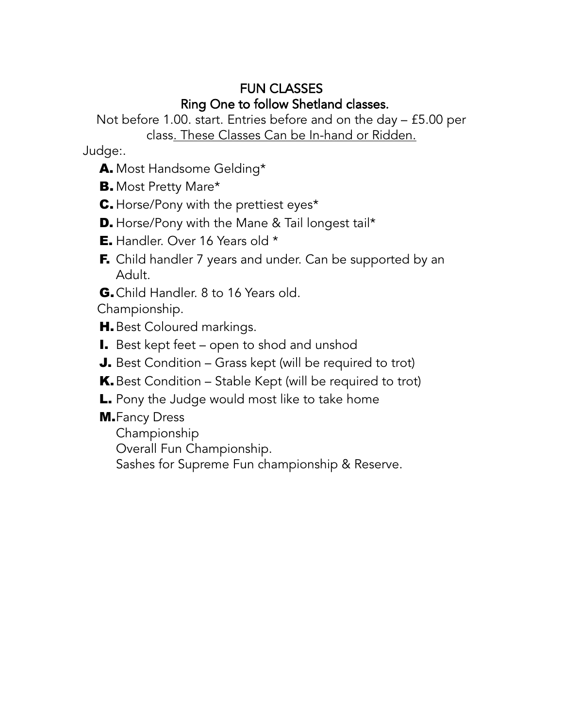## FUN CLASSES Ring One to follow Shetland classes.

Not before 1.00. start. Entries before and on the day – £5.00 per class. These Classes Can be In-hand or Ridden.

Judge:.

- A. Most Handsome Gelding\*
- B. Most Pretty Mare\*
- C. Horse/Pony with the prettiest eyes\*
- **D.** Horse/Pony with the Mane & Tail longest tail\*
- **E.** Handler. Over 16 Years old \*
- F. Child handler 7 years and under. Can be supported by an Adult.
- G. Child Handler. 8 to 16 Years old.

Championship.

- **H.** Best Coloured markings.
- I. Best kept feet open to shod and unshod
- J. Best Condition Grass kept (will be required to trot)
- **K.** Best Condition Stable Kept (will be required to trot)
- L. Pony the Judge would most like to take home
- **M.**Fancy Dress Championship Overall Fun Championship. Sashes for Supreme Fun championship & Reserve.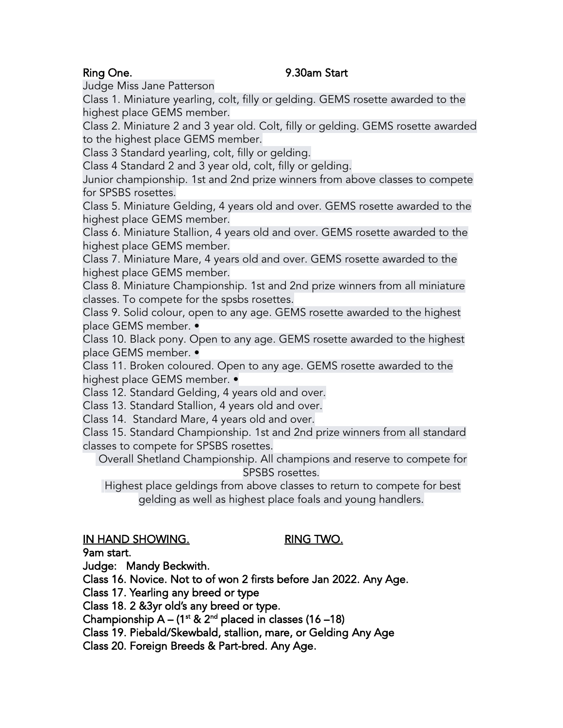### Ring One. 2008 2009 12:30 PM Start

Judge Miss Jane Patterson

Class 1. Miniature yearling, colt, filly or gelding. GEMS rosette awarded to the highest place GEMS member.

Class 2. Miniature 2 and 3 year old. Colt, filly or gelding. GEMS rosette awarded to the highest place GEMS member.

Class 3 Standard yearling, colt, filly or gelding.

Class 4 Standard 2 and 3 year old, colt, filly or gelding.

Junior championship. 1st and 2nd prize winners from above classes to compete for SPSBS rosettes.

Class 5. Miniature Gelding, 4 years old and over. GEMS rosette awarded to the highest place GEMS member.

Class 6. Miniature Stallion, 4 years old and over. GEMS rosette awarded to the highest place GEMS member.

Class 7. Miniature Mare, 4 years old and over. GEMS rosette awarded to the highest place GEMS member.

Class 8. Miniature Championship. 1st and 2nd prize winners from all miniature classes. To compete for the spsbs rosettes.

Class 9. Solid colour, open to any age. GEMS rosette awarded to the highest place GEMS member. •

Class 10. Black pony. Open to any age. GEMS rosette awarded to the highest place GEMS member. •

Class 11. Broken coloured. Open to any age. GEMS rosette awarded to the highest place GEMS member. •

Class 12. Standard Gelding, 4 years old and over.

Class 13. Standard Stallion, 4 years old and over.

Class 14. Standard Mare, 4 years old and over.

Class 15. Standard Championship. 1st and 2nd prize winners from all standard classes to compete for SPSBS rosettes.

Overall Shetland Championship. All champions and reserve to compete for SPSBS rosettes.

Highest place geldings from above classes to return to compete for best gelding as well as highest place foals and young handlers.

### IN HAND SHOWING. RING TWO.

9am start.

Judge: Mandy Beckwith.

Class 16. Novice. Not to of won 2 firsts before Jan 2022. Any Age.

Class 17. Yearling any breed or type

Class 18. 2 &3yr old's any breed or type.

Championship  $A - (1^{st} \& 2^{nd}$  placed in classes (16 –18)

Class 19. Piebald/Skewbald, stallion, mare, or Gelding Any Age

Class 20. Foreign Breeds & Part-bred. Any Age.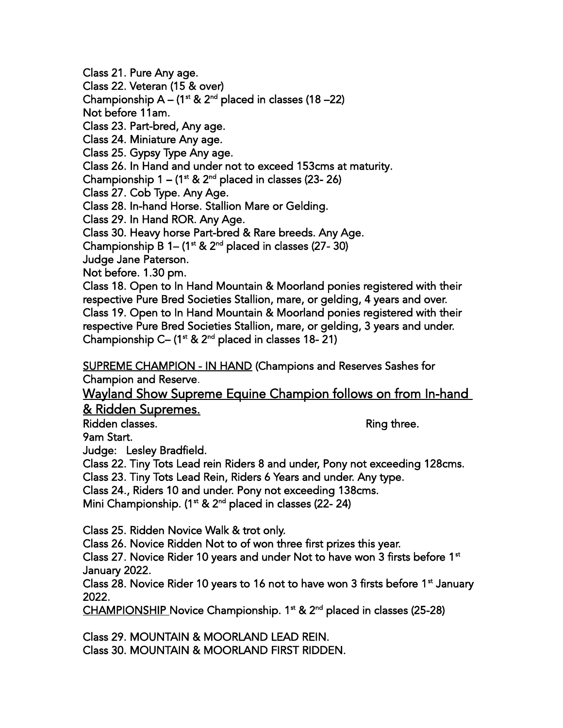Class 21. Pure Any age. Class 22. Veteran (15 & over) Championship  $A - (1^{st} & 2^{nd}$  placed in classes (18 –22) Not before 11am. Class 23. Part-bred, Any age. Class 24. Miniature Any age. Class 25. Gypsy Type Any age. Class 26. In Hand and under not to exceed 153cms at maturity. Championship  $1 - (1^{st} 8t 2^{nd}$  placed in classes (23- 26) Class 27. Cob Type. Any Age. Class 28. In-hand Horse. Stallion Mare or Gelding. Class 29. In Hand ROR. Any Age. Class 30. Heavy horse Part-bred & Rare breeds. Any Age. Championship B 1–  $(1<sup>st</sup>$  & 2<sup>nd</sup> placed in classes (27- 30) Judge Jane Paterson. Not before. 1.30 pm. Class 18. Open to In Hand Mountain & Moorland ponies registered with their respective Pure Bred Societies Stallion, mare, or gelding, 4 years and over. Class 19. Open to In Hand Mountain & Moorland ponies registered with their respective Pure Bred Societies Stallion, mare, or gelding, 3 years and under. Championship C– ( $1<sup>st</sup>$  &  $2<sup>nd</sup>$  placed in classes 18-21) SUPREME CHAMPION - IN HAND (Champions and Reserves Sashes for Champion and Reserve. Wayland Show Supreme Equine Champion follows on from In-hand

& Ridden Supremes.

Ridden classes. The contract of the contract of the contract of the contract of the contract of the contract of the contract of the contract of the contract of the contract of the contract of the contract of the contract o

9am Start.

Judge: Lesley Bradfield.

Class 22. Tiny Tots Lead rein Riders 8 and under, Pony not exceeding 128cms.

Class 23. Tiny Tots Lead Rein, Riders 6 Years and under. Any type.

Class 24., Riders 10 and under. Pony not exceeding 138cms.

Mini Championship. ( $1<sup>st</sup>$  &  $2<sup>nd</sup>$  placed in classes (22- 24)

Class 25. Ridden Novice Walk & trot only.

Class 26. Novice Ridden Not to of won three first prizes this year.

Class 27. Novice Rider 10 years and under Not to have won 3 firsts before 1 $\mathrm{^{st}}$ January 2022.

Class 28. Novice Rider 10 years to 16 not to have won 3 firsts before 1<sup>st</sup> January 2022.

 $CHAMPIONSHIP$  Novice Championship. 1<sup>st</sup> & 2<sup>nd</sup> placed in classes (25-28)

Class 29. MOUNTAIN & MOORLAND LEAD REIN. Class 30. MOUNTAIN & MOORLAND FIRST RIDDEN.